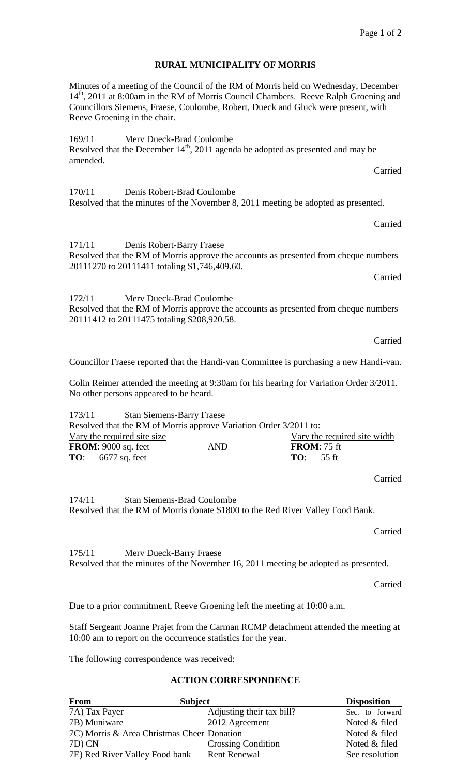Page **1** of **2**

## **RURAL MUNICIPALITY OF MORRIS**

Minutes of a meeting of the Council of the RM of Morris held on Wednesday, December 14<sup>th</sup>, 2011 at 8:00am in the RM of Morris Council Chambers. Reeve Ralph Groening and Councillors Siemens, Fraese, Coulombe, Robert, Dueck and Gluck were present, with Reeve Groening in the chair.

169/11 Merv Dueck-Brad Coulombe Resolved that the December  $14<sup>th</sup>$ , 2011 agenda be adopted as presented and may be amended. Carried

170/11 Denis Robert-Brad Coulombe Resolved that the minutes of the November 8, 2011 meeting be adopted as presented.

171/11 Denis Robert-Barry Fraese Resolved that the RM of Morris approve the accounts as presented from cheque numbers 20111270 to 20111411 totaling \$1,746,409.60.

172/11 Merv Dueck-Brad Coulombe Resolved that the RM of Morris approve the accounts as presented from cheque numbers 20111412 to 20111475 totaling \$208,920.58.

Carried

Carried

Carried

Councillor Fraese reported that the Handi-van Committee is purchasing a new Handi-van.

Colin Reimer attended the meeting at 9:30am for his hearing for Variation Order 3/2011. No other persons appeared to be heard.

173/11 Stan Siemens-Barry Fraese Resolved that the RM of Morris approve Variation Order 3/2011 to: Vary the required site size Vary the required site width **FROM**: 9000 sq. feet AND **FROM**: 75 ft **TO**: 6677 sq. feet **TO**: 55 ft

Carried

174/11 Stan Siemens-Brad Coulombe Resolved that the RM of Morris donate \$1800 to the Red River Valley Food Bank.

Carried

175/11 Merv Dueck-Barry Fraese Resolved that the minutes of the November 16, 2011 meeting be adopted as presented.

Carried

Due to a prior commitment, Reeve Groening left the meeting at 10:00 a.m.

Staff Sergeant Joanne Prajet from the Carman RCMP detachment attended the meeting at 10:00 am to report on the occurrence statistics for the year.

The following correspondence was received:

## **ACTION CORRESPONDENCE**

| <b>From</b>                                | <b>Subject</b>            | <b>Disposition</b> |
|--------------------------------------------|---------------------------|--------------------|
| 7A) Tax Payer                              | Adjusting their tax bill? | Sec. to forward    |
| 7B) Muniware                               | 2012 Agreement            | Noted & filed      |
| 7C) Morris & Area Christmas Cheer Donation |                           | Noted & filed      |
| 7D) CN                                     | <b>Crossing Condition</b> | Noted & filed      |
| 7E) Red River Valley Food bank             | <b>Rent Renewal</b>       | See resolution     |